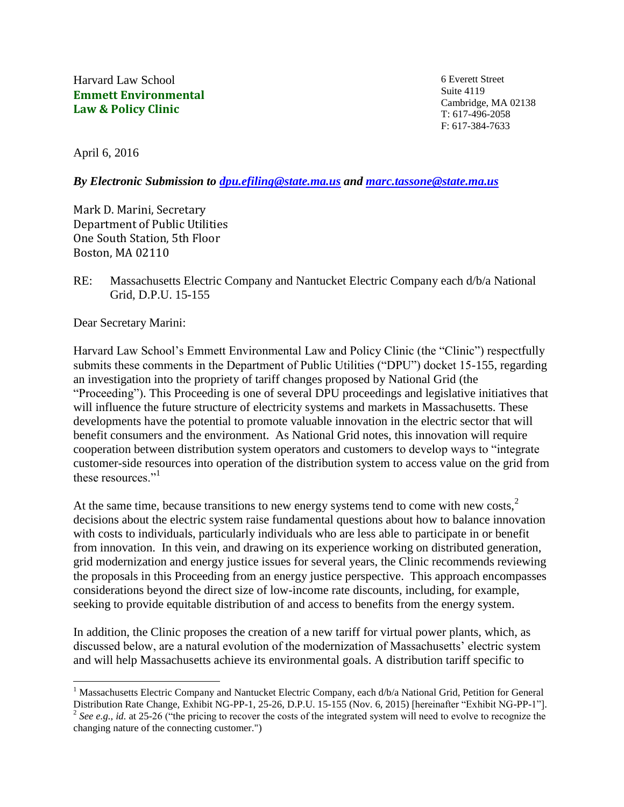Harvard Law School **Emmett Environmental Law & Policy Clinic**

6 Everett Street Suite 4119 Cambridge, MA 02138 T: 617-496-2058 F: 617-384-7633

April 6, 2016

*By Electronic Submission to [dpu.efiling@state.ma.us](mailto:dpu.efiling@state.ma.us) and [marc.tassone@state.ma.us](mailto:marc.tassone@state.ma.us)*

Mark D. Marini, Secretary Department of Public Utilities One South Station, 5th Floor Boston, MA 02110

RE: Massachusetts Electric Company and Nantucket Electric Company each d/b/a National Grid, D.P.U. 15-155

Dear Secretary Marini:

 $\overline{a}$ 

Harvard Law School's Emmett Environmental Law and Policy Clinic (the "Clinic") respectfully submits these comments in the Department of Public Utilities ("DPU") docket 15-155, regarding an investigation into the propriety of tariff changes proposed by National Grid (the "Proceeding"). This Proceeding is one of several DPU proceedings and legislative initiatives that will influence the future structure of electricity systems and markets in Massachusetts. These developments have the potential to promote valuable innovation in the electric sector that will benefit consumers and the environment. As National Grid notes, this innovation will require cooperation between distribution system operators and customers to develop ways to "integrate customer-side resources into operation of the distribution system to access value on the grid from these resources<sup>"1</sup>

At the same time, because transitions to new energy systems tend to come with new costs.<sup>2</sup> decisions about the electric system raise fundamental questions about how to balance innovation with costs to individuals, particularly individuals who are less able to participate in or benefit from innovation. In this vein, and drawing on its experience working on distributed generation, grid modernization and energy justice issues for several years, the Clinic recommends reviewing the proposals in this Proceeding from an energy justice perspective. This approach encompasses considerations beyond the direct size of low-income rate discounts, including, for example, seeking to provide equitable distribution of and access to benefits from the energy system.

In addition, the Clinic proposes the creation of a new tariff for virtual power plants, which, as discussed below, are a natural evolution of the modernization of Massachusetts' electric system and will help Massachusetts achieve its environmental goals. A distribution tariff specific to

<sup>&</sup>lt;sup>1</sup> Massachusetts Electric Company and Nantucket Electric Company, each d/b/a National Grid, Petition for General Distribution Rate Change, Exhibit NG-PP-1, 25-26, D.P.U. 15-155 (Nov. 6, 2015) [hereinafter "Exhibit NG-PP-1"]. <sup>2</sup> See e.g., *id.* at 25-26 ("the pricing to recover the costs of the integrated system will need to evolve to recognize the changing nature of the connecting customer.")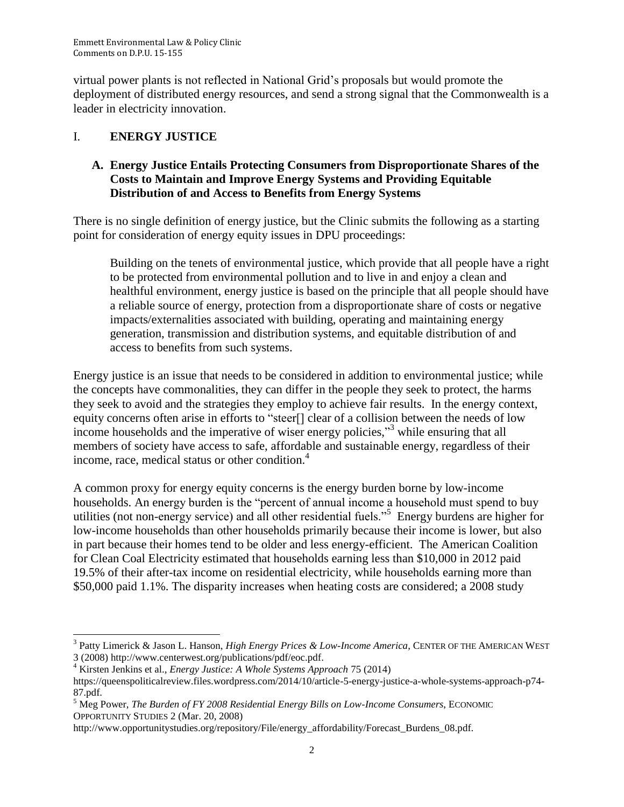virtual power plants is not reflected in National Grid's proposals but would promote the deployment of distributed energy resources, and send a strong signal that the Commonwealth is a leader in electricity innovation.

## I. **ENERGY JUSTICE**

### **A. Energy Justice Entails Protecting Consumers from Disproportionate Shares of the Costs to Maintain and Improve Energy Systems and Providing Equitable Distribution of and Access to Benefits from Energy Systems**

There is no single definition of energy justice, but the Clinic submits the following as a starting point for consideration of energy equity issues in DPU proceedings:

Building on the tenets of environmental justice, which provide that all people have a right to be protected from environmental pollution and to live in and enjoy a clean and healthful environment, energy justice is based on the principle that all people should have a reliable source of energy, protection from a disproportionate share of costs or negative impacts/externalities associated with building, operating and maintaining energy generation, transmission and distribution systems, and equitable distribution of and access to benefits from such systems.

Energy justice is an issue that needs to be considered in addition to environmental justice; while the concepts have commonalities, they can differ in the people they seek to protect, the harms they seek to avoid and the strategies they employ to achieve fair results. In the energy context, equity concerns often arise in efforts to "steer[] clear of a collision between the needs of low income households and the imperative of wiser energy policies,"<sup>3</sup> while ensuring that all members of society have access to safe, affordable and sustainable energy, regardless of their income, race, medical status or other condition. 4

A common proxy for energy equity concerns is the energy burden borne by low-income households. An energy burden is the "percent of annual income a household must spend to buy utilities (not non-energy service) and all other residential fuels."<sup>5</sup> Energy burdens are higher for low-income households than other households primarily because their income is lower, but also in part because their homes tend to be older and less energy-efficient. The American Coalition for Clean Coal Electricity estimated that households earning less than \$10,000 in 2012 paid 19.5% of their after-tax income on residential electricity, while households earning more than \$50,000 paid 1.1%. The disparity increases when heating costs are considered; a 2008 study

l <sup>3</sup> Patty Limerick & Jason L. Hanson, *High Energy Prices & Low-Income America*, CENTER OF THE AMERICAN WEST 3 (2008) http://www.centerwest.org/publications/pdf/eoc.pdf.

<sup>4</sup> Kirsten Jenkins et al., *Energy Justice: A Whole Systems Approach* 75 (2014)

https://queenspoliticalreview.files.wordpress.com/2014/10/article-5-energy-justice-a-whole-systems-approach-p74- 87.pdf.

<sup>5</sup> Meg Power, *The Burden of FY 2008 Residential Energy Bills on Low-Income Consumers*, ECONOMIC OPPORTUNITY STUDIES 2 (Mar. 20, 2008)

http://www.opportunitystudies.org/repository/File/energy\_affordability/Forecast\_Burdens\_08.pdf.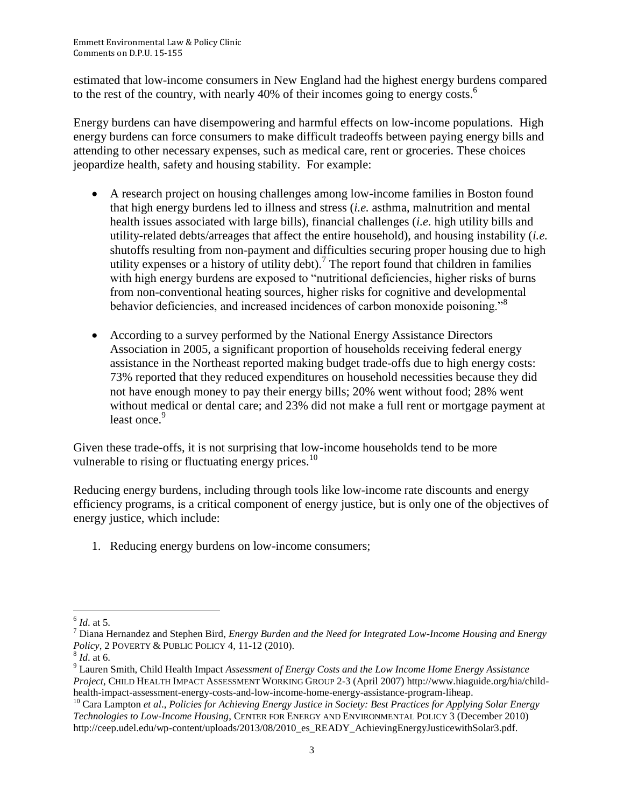estimated that low-income consumers in New England had the highest energy burdens compared to the rest of the country, with nearly 40% of their incomes going to energy costs.<sup>6</sup>

Energy burdens can have disempowering and harmful effects on low-income populations. High energy burdens can force consumers to make difficult tradeoffs between paying energy bills and attending to other necessary expenses, such as medical care, rent or groceries. These choices jeopardize health, safety and housing stability. For example:

- A research project on housing challenges among low-income families in Boston found that high energy burdens led to illness and stress (*i.e.* asthma, malnutrition and mental health issues associated with large bills), financial challenges (*i.e.* high utility bills and utility-related debts/arreages that affect the entire household), and housing instability (*i.e.* shutoffs resulting from non-payment and difficulties securing proper housing due to high utility expenses or a history of utility debt).<sup>7</sup> The report found that children in families with high energy burdens are exposed to "nutritional deficiencies, higher risks of burns from non-conventional heating sources, higher risks for cognitive and developmental behavior deficiencies, and increased incidences of carbon monoxide poisoning."<sup>8</sup>
- According to a survey performed by the National Energy Assistance Directors Association in 2005, a significant proportion of households receiving federal energy assistance in the Northeast reported making budget trade-offs due to high energy costs: 73% reported that they reduced expenditures on household necessities because they did not have enough money to pay their energy bills; 20% went without food; 28% went without medical or dental care; and 23% did not make a full rent or mortgage payment at least once.<sup>9</sup>

Given these trade-offs, it is not surprising that low-income households tend to be more vulnerable to rising or fluctuating energy prices.<sup>10</sup>

Reducing energy burdens, including through tools like low-income rate discounts and energy efficiency programs, is a critical component of energy justice, but is only one of the objectives of energy justice, which include:

1. Reducing energy burdens on low-income consumers;

 $\overline{a}$ 6 *Id*. at 5.

<sup>7</sup> Diana Hernandez and Stephen Bird, *Energy Burden and the Need for Integrated Low-Income Housing and Energy Policy*, 2 POVERTY & PUBLIC POLICY 4, 11-12 (2010).

<sup>8</sup> *Id*. at 6.

<sup>9</sup> Lauren Smith, Child Health Impact *Assessment of Energy Costs and the Low Income Home Energy Assistance Project*, CHILD HEALTH IMPACT ASSESSMENT WORKING GROUP 2-3 (April 2007) http://www.hiaguide.org/hia/childhealth-impact-assessment-energy-costs-and-low-income-home-energy-assistance-program-liheap.

<sup>10</sup> Cara Lampton *et al*., *Policies for Achieving Energy Justice in Society: Best Practices for Applying Solar Energy Technologies to Low-Income Housing*, CENTER FOR ENERGY AND ENVIRONMENTAL POLICY 3 (December 2010) http://ceep.udel.edu/wp-content/uploads/2013/08/2010\_es\_READY\_AchievingEnergyJusticewithSolar3.pdf.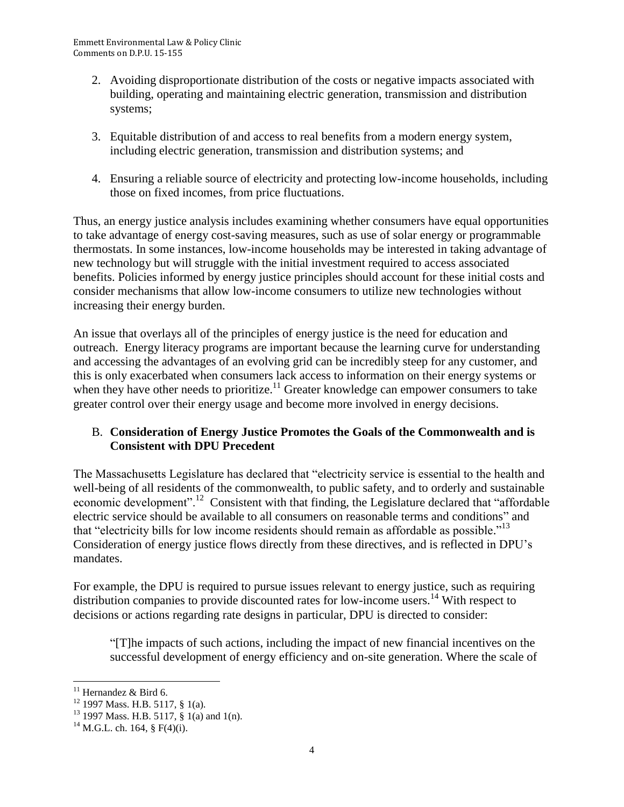- 2. Avoiding disproportionate distribution of the costs or negative impacts associated with building, operating and maintaining electric generation, transmission and distribution systems;
- 3. Equitable distribution of and access to real benefits from a modern energy system, including electric generation, transmission and distribution systems; and
- 4. Ensuring a reliable source of electricity and protecting low-income households, including those on fixed incomes, from price fluctuations.

Thus, an energy justice analysis includes examining whether consumers have equal opportunities to take advantage of energy cost-saving measures, such as use of solar energy or programmable thermostats. In some instances, low-income households may be interested in taking advantage of new technology but will struggle with the initial investment required to access associated benefits. Policies informed by energy justice principles should account for these initial costs and consider mechanisms that allow low-income consumers to utilize new technologies without increasing their energy burden.

An issue that overlays all of the principles of energy justice is the need for education and outreach. Energy literacy programs are important because the learning curve for understanding and accessing the advantages of an evolving grid can be incredibly steep for any customer, and this is only exacerbated when consumers lack access to information on their energy systems or when they have other needs to prioritize.<sup>11</sup> Greater knowledge can empower consumers to take greater control over their energy usage and become more involved in energy decisions.

## B. **Consideration of Energy Justice Promotes the Goals of the Commonwealth and is Consistent with DPU Precedent**

The Massachusetts Legislature has declared that "electricity service is essential to the health and well-being of all residents of the commonwealth, to public safety, and to orderly and sustainable economic development".<sup>12</sup> Consistent with that finding, the Legislature declared that "affordable" electric service should be available to all consumers on reasonable terms and conditions" and that "electricity bills for low income residents should remain as affordable as possible."<sup>13</sup> Consideration of energy justice flows directly from these directives, and is reflected in DPU's mandates.

For example, the DPU is required to pursue issues relevant to energy justice, such as requiring distribution companies to provide discounted rates for low-income users.<sup>14</sup> With respect to decisions or actions regarding rate designs in particular, DPU is directed to consider:

"[T]he impacts of such actions, including the impact of new financial incentives on the successful development of energy efficiency and on-site generation. Where the scale of

 $\overline{a}$ 

 $11$  Hernandez & Bird 6.

<sup>&</sup>lt;sup>12</sup> 1997 Mass. H.B. 5117, § 1(a).

 $13$  1997 Mass. H.B. 5117, § 1(a) and 1(n).

 $^{14}$  M.G.L. ch. 164, § F(4)(i).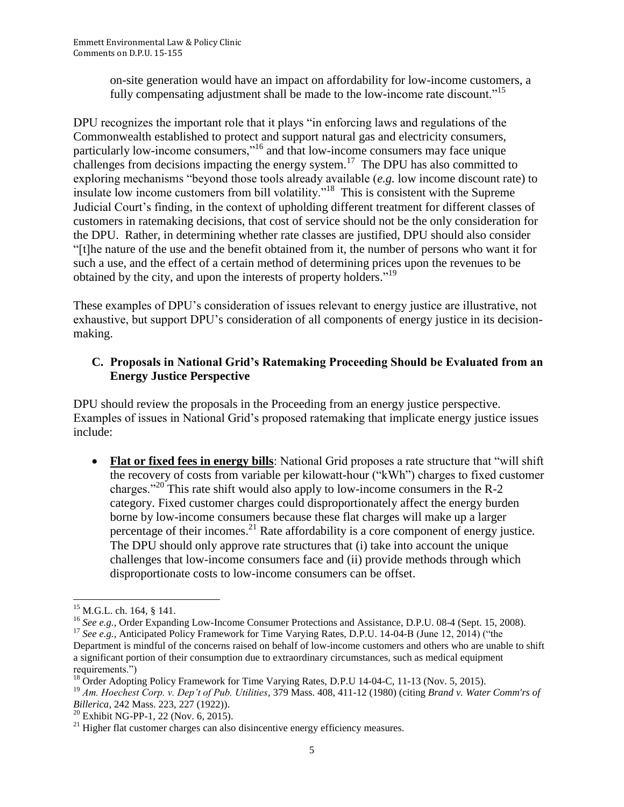on-site generation would have an impact on affordability for low-income customers, a fully compensating adjustment shall be made to the low-income rate discount."<sup>15</sup>

DPU recognizes the important role that it plays "in enforcing laws and regulations of the Commonwealth established to protect and support natural gas and electricity consumers, particularly low-income consumers,"<sup>16</sup> and that low-income consumers may face unique challenges from decisions impacting the energy system.<sup>17</sup> The DPU has also committed to exploring mechanisms "beyond those tools already available (*e.g.* low income discount rate) to insulate low income customers from bill volatility."<sup>18</sup> This is consistent with the Supreme Judicial Court's finding, in the context of upholding different treatment for different classes of customers in ratemaking decisions, that cost of service should not be the only consideration for the DPU. Rather, in determining whether rate classes are justified, DPU should also consider "[t]he nature of the use and the benefit obtained from it, the number of persons who want it for such a use, and the effect of a certain method of determining prices upon the revenues to be obtained by the city, and upon the interests of property holders."<sup>19</sup>

These examples of DPU's consideration of issues relevant to energy justice are illustrative, not exhaustive, but support DPU's consideration of all components of energy justice in its decisionmaking.

## **C. Proposals in National Grid's Ratemaking Proceeding Should be Evaluated from an Energy Justice Perspective**

DPU should review the proposals in the Proceeding from an energy justice perspective. Examples of issues in National Grid's proposed ratemaking that implicate energy justice issues include:

 **Flat or fixed fees in energy bills**: National Grid proposes a rate structure that "will shift the recovery of costs from variable per kilowatt-hour ("kWh") charges to fixed customer charges."<sup>20</sup> This rate shift would also apply to low-income consumers in the R-2 category. Fixed customer charges could disproportionately affect the energy burden borne by low-income consumers because these flat charges will make up a larger percentage of their incomes.<sup>21</sup> Rate affordability is a core component of energy justice. The DPU should only approve rate structures that (i) take into account the unique challenges that low-income consumers face and (ii) provide methods through which disproportionate costs to low-income consumers can be offset.

l  $15$  M.G.L. ch. 164, § 141.

<sup>&</sup>lt;sup>16</sup> See e.g., Order Expanding Low-Income Consumer Protections and Assistance, D.P.U. 08-4 (Sept. 15, 2008).

<sup>&</sup>lt;sup>17</sup> See e.g., Anticipated Policy Framework for Time Varying Rates, D.P.U. 14-04-B (June 12, 2014) ("the Department is mindful of the concerns raised on behalf of low-income customers and others who are unable to shift a significant portion of their consumption due to extraordinary circumstances, such as medical equipment requirements.")

<sup>&</sup>lt;sup>18</sup> Order Adopting Policy Framework for Time Varying Rates, D.P.U 14-04-C, 11-13 (Nov. 5, 2015).

<sup>19</sup> *Am. Hoechest Corp. v. Dep't of Pub. Utilities,* 379 Mass. 408, 411-12 (1980) (citing *Brand v. Water Comm'rs of Billerica*, 242 Mass. 223, 227 (1922)).

<sup>20</sup> Exhibit NG-PP-1, 22 (Nov. 6, 2015).

 $21$  Higher flat customer charges can also disincentive energy efficiency measures.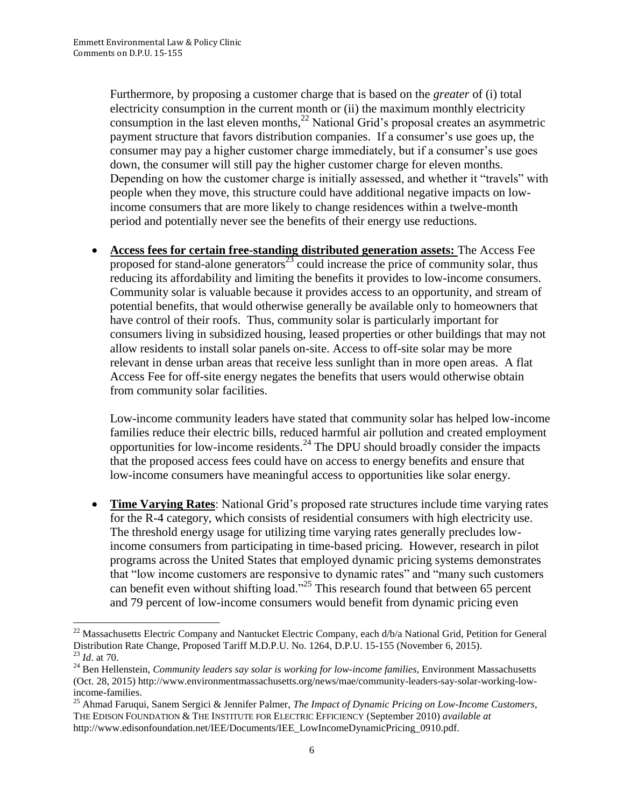Furthermore, by proposing a customer charge that is based on the *greater* of (i) total electricity consumption in the current month or (ii) the maximum monthly electricity consumption in the last eleven months,<sup>22</sup> National Grid's proposal creates an asymmetric payment structure that favors distribution companies. If a consumer's use goes up, the consumer may pay a higher customer charge immediately, but if a consumer's use goes down, the consumer will still pay the higher customer charge for eleven months. Depending on how the customer charge is initially assessed, and whether it "travels" with people when they move, this structure could have additional negative impacts on lowincome consumers that are more likely to change residences within a twelve-month period and potentially never see the benefits of their energy use reductions.

 **Access fees for certain free-standing distributed generation assets:** The Access Fee proposed for stand-alone generators<sup>23</sup> could increase the price of community solar, thus reducing its affordability and limiting the benefits it provides to low-income consumers. Community solar is valuable because it provides access to an opportunity, and stream of potential benefits, that would otherwise generally be available only to homeowners that have control of their roofs. Thus, community solar is particularly important for consumers living in subsidized housing, leased properties or other buildings that may not allow residents to install solar panels on-site. Access to off-site solar may be more relevant in dense urban areas that receive less sunlight than in more open areas. A flat Access Fee for off-site energy negates the benefits that users would otherwise obtain from community solar facilities.

Low-income community leaders have stated that community solar has helped low-income families reduce their electric bills, reduced harmful air pollution and created employment opportunities for low-income residents.<sup>24</sup> The DPU should broadly consider the impacts that the proposed access fees could have on access to energy benefits and ensure that low-income consumers have meaningful access to opportunities like solar energy.

 **Time Varying Rates**: National Grid's proposed rate structures include time varying rates for the R-4 category, which consists of residential consumers with high electricity use. The threshold energy usage for utilizing time varying rates generally precludes lowincome consumers from participating in time-based pricing. However, research in pilot programs across the United States that employed dynamic pricing systems demonstrates that "low income customers are responsive to dynamic rates" and "many such customers can benefit even without shifting load."<sup>25</sup> This research found that between 65 percent and 79 percent of low-income consumers would benefit from dynamic pricing even

 $\overline{\phantom{a}}$ <sup>22</sup> Massachusetts Electric Company and Nantucket Electric Company, each d/b/a National Grid, Petition for General Distribution Rate Change, Proposed Tariff M.D.P.U. No. 1264, D.P.U. 15-155 (November 6, 2015). <sup>23</sup> *Id*. at 70.

<sup>24</sup> Ben Hellenstein, *Community leaders say solar is working for low-income families*, Environment Massachusetts (Oct. 28, 2015) http://www.environmentmassachusetts.org/news/mae/community-leaders-say-solar-working-lowincome-families.

<sup>25</sup> Ahmad Faruqui, Sanem Sergici & Jennifer Palmer, *The Impact of Dynamic Pricing on Low-Income Customers*, THE EDISON FOUNDATION & THE INSTITUTE FOR ELECTRIC EFFICIENCY (September 2010) *available at* http://www.edisonfoundation.net/IEE/Documents/IEE\_LowIncomeDynamicPricing\_0910.pdf.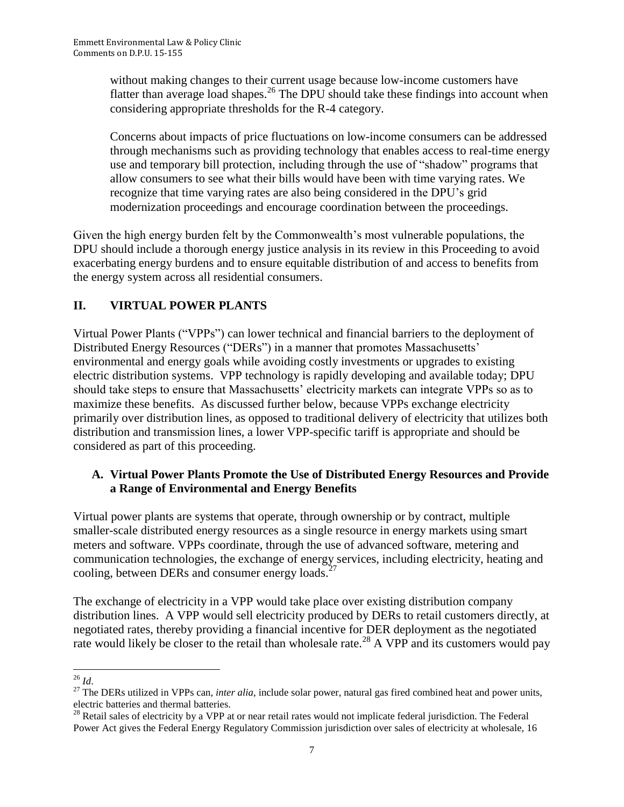without making changes to their current usage because low-income customers have flatter than average load shapes.<sup>26</sup> The DPU should take these findings into account when considering appropriate thresholds for the R-4 category.

Concerns about impacts of price fluctuations on low-income consumers can be addressed through mechanisms such as providing technology that enables access to real-time energy use and temporary bill protection, including through the use of "shadow" programs that allow consumers to see what their bills would have been with time varying rates. We recognize that time varying rates are also being considered in the DPU's grid modernization proceedings and encourage coordination between the proceedings.

Given the high energy burden felt by the Commonwealth's most vulnerable populations, the DPU should include a thorough energy justice analysis in its review in this Proceeding to avoid exacerbating energy burdens and to ensure equitable distribution of and access to benefits from the energy system across all residential consumers.

# **II. VIRTUAL POWER PLANTS**

Virtual Power Plants ("VPPs") can lower technical and financial barriers to the deployment of Distributed Energy Resources ("DERs") in a manner that promotes Massachusetts' environmental and energy goals while avoiding costly investments or upgrades to existing electric distribution systems. VPP technology is rapidly developing and available today; DPU should take steps to ensure that Massachusetts' electricity markets can integrate VPPs so as to maximize these benefits. As discussed further below, because VPPs exchange electricity primarily over distribution lines, as opposed to traditional delivery of electricity that utilizes both distribution and transmission lines, a lower VPP-specific tariff is appropriate and should be considered as part of this proceeding.

## **A. Virtual Power Plants Promote the Use of Distributed Energy Resources and Provide a Range of Environmental and Energy Benefits**

Virtual power plants are systems that operate, through ownership or by contract, multiple smaller-scale distributed energy resources as a single resource in energy markets using smart meters and software. VPPs coordinate, through the use of advanced software, metering and communication technologies, the exchange of energy services, including electricity, heating and cooling, between DERs and consumer energy loads. $^{27}$ 

The exchange of electricity in a VPP would take place over existing distribution company distribution lines. A VPP would sell electricity produced by DERs to retail customers directly, at negotiated rates, thereby providing a financial incentive for DER deployment as the negotiated rate would likely be closer to the retail than wholesale rate.<sup>28</sup> A VPP and its customers would pay

 $\overline{\phantom{a}}$ <sup>26</sup> *Id*.

<sup>&</sup>lt;sup>27</sup> The DERs utilized in VPPs can, *inter alia*, include solar power, natural gas fired combined heat and power units, electric batteries and thermal batteries.

 $^{28}$  Retail sales of electricity by a VPP at or near retail rates would not implicate federal jurisdiction. The Federal Power Act gives the Federal Energy Regulatory Commission jurisdiction over sales of electricity at wholesale, 16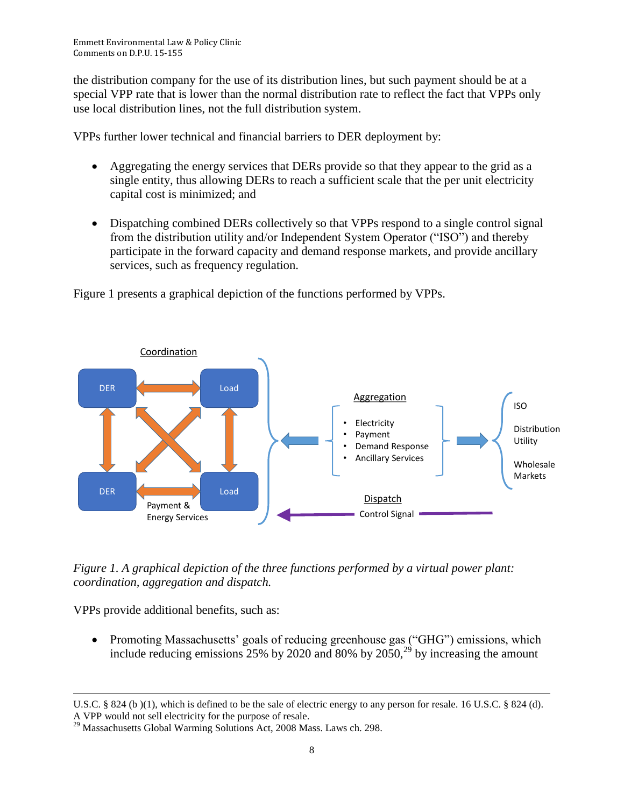the distribution company for the use of its distribution lines, but such payment should be at a special VPP rate that is lower than the normal distribution rate to reflect the fact that VPPs only use local distribution lines, not the full distribution system.

VPPs further lower technical and financial barriers to DER deployment by:

- Aggregating the energy services that DERs provide so that they appear to the grid as a single entity, thus allowing DERs to reach a sufficient scale that the per unit electricity capital cost is minimized; and
- Dispatching combined DERs collectively so that VPPs respond to a single control signal from the distribution utility and/or Independent System Operator ("ISO") and thereby participate in the forward capacity and demand response markets, and provide ancillary services, such as frequency regulation.

Figure 1 presents a graphical depiction of the functions performed by VPPs.



*Figure 1. A graphical depiction of the three functions performed by a virtual power plant: coordination, aggregation and dispatch.* 

VPPs provide additional benefits, such as:

 $\overline{\phantom{a}}$ 

 Promoting Massachusetts' goals of reducing greenhouse gas ("GHG") emissions, which include reducing emissions  $25\%$  by 2020 and 80% by  $2050$ ,  $^{29}$  by increasing the amount

U.S.C. § 824 (b)(1), which is defined to be the sale of electric energy to any person for resale. 16 U.S.C. § 824 (d). A VPP would not sell electricity for the purpose of resale.

<sup>&</sup>lt;sup>29</sup> Massachusetts Global Warming Solutions Act, 2008 Mass. Laws ch. 298.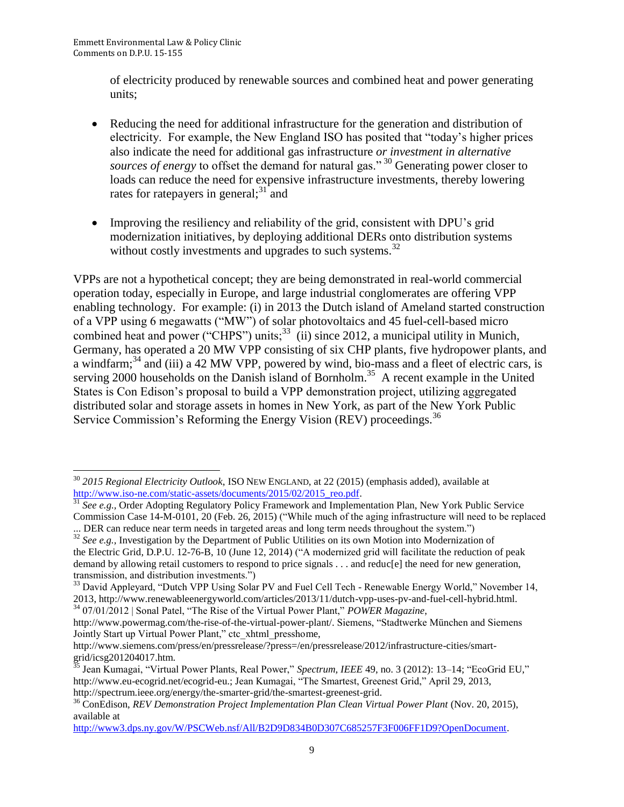of electricity produced by renewable sources and combined heat and power generating units;

- Reducing the need for additional infrastructure for the generation and distribution of electricity. For example, the New England ISO has posited that "today's higher prices also indicate the need for additional gas infrastructure *or investment in alternative sources of energy* to offset the demand for natural gas."<sup>30</sup> Generating power closer to loads can reduce the need for expensive infrastructure investments, thereby lowering rates for ratepayers in general;<sup>31</sup> and
- Improving the resiliency and reliability of the grid, consistent with DPU's grid modernization initiatives, by deploying additional DERs onto distribution systems without costly investments and upgrades to such systems.<sup>32</sup>

VPPs are not a hypothetical concept; they are being demonstrated in real-world commercial operation today, especially in Europe, and large industrial conglomerates are offering VPP enabling technology. For example: (i) in 2013 the Dutch island of Ameland started construction of a VPP using 6 megawatts ("MW") of solar photovoltaics and 45 fuel-cell-based micro combined heat and power ("CHPS") units;<sup>33</sup> (ii) since 2012, a municipal utility in Munich, Germany, has operated a 20 MW VPP consisting of six CHP plants, five hydropower plants, and a windfarm;<sup>34</sup> and (iii) a 42 MW VPP, powered by wind, bio-mass and a fleet of electric cars, is serving 2000 households on the Danish island of Bornholm.<sup>35</sup> A recent example in the United States is Con Edison's proposal to build a VPP demonstration project, utilizing aggregated distributed solar and storage assets in homes in New York, as part of the New York Public Service Commission's Reforming the Energy Vision (REV) proceedings.<sup>36</sup>

 $\overline{\phantom{a}}$ <sup>30</sup> *2015 Regional Electricity Outlook*, ISO NEW ENGLAND, at 22 (2015) (emphasis added), available at [http://www.iso-ne.com/static-assets/documents/2015/02/2015\\_reo.pdf.](http://www.iso-ne.com/static-assets/documents/2015/02/2015_reo.pdf)

<sup>&</sup>lt;sup>31</sup> See e.g., Order Adopting Regulatory Policy Framework and Implementation Plan, New York Public Service Commission Case 14-M-0101, 20 (Feb. 26, 2015) ("While much of the aging infrastructure will need to be replaced

<sup>...</sup> DER can reduce near term needs in targeted areas and long term needs throughout the system.") <sup>32</sup> See e.g., Investigation by the Department of Public Utilities on its own Motion into Modernization of the Electric Grid, D.P.U. 12-76-B, 10 (June 12, 2014) ("A modernized grid will facilitate the reduction of peak demand by allowing retail customers to respond to price signals . . . and reduc[e] the need for new generation, transmission, and distribution investments.")

<sup>&</sup>lt;sup>33</sup> David Appleyard, "Dutch VPP Using Solar PV and Fuel Cell Tech - Renewable Energy World," November 14, 2013, http://www.renewableenergyworld.com/articles/2013/11/dutch-vpp-uses-pv-and-fuel-cell-hybrid.html. <sup>34</sup> 07/01/2012 | Sonal Patel, "The Rise of the Virtual Power Plant," *POWER Magazine*,

http://www.powermag.com/the-rise-of-the-virtual-power-plant/. Siemens, "Stadtwerke München and Siemens Jointly Start up Virtual Power Plant," ctc\_xhtml\_presshome,

http://www.siemens.com/press/en/pressrelease/?press=/en/pressrelease/2012/infrastructure-cities/smartgrid/icsg201204017.htm.

<sup>&</sup>lt;sup>5</sup> Jean Kumagai, "Virtual Power Plants, Real Power," *Spectrum, IEEE* 49, no. 3 (2012): 13–14; "EcoGrid EU," http://www.eu-ecogrid.net/ecogrid-eu.; Jean Kumagai, "The Smartest, Greenest Grid," April 29, 2013, http://spectrum.ieee.org/energy/the-smarter-grid/the-smartest-greenest-grid.

<sup>&</sup>lt;sup>36</sup> ConEdison, *REV Demonstration Project Implementation Plan Clean Virtual Power Plant* (Nov. 20, 2015), available at

[http://www3.dps.ny.gov/W/PSCWeb.nsf/All/B2D9D834B0D307C685257F3F006FF1D9?OpenDocument.](http://www3.dps.ny.gov/W/PSCWeb.nsf/All/B2D9D834B0D307C685257F3F006FF1D9?OpenDocument)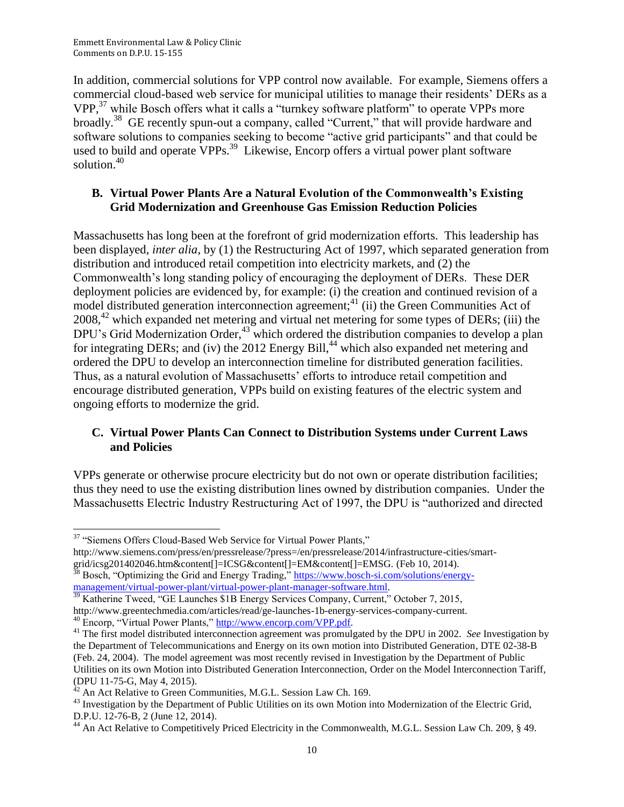In addition, commercial solutions for VPP control now available. For example, Siemens offers a commercial cloud-based web service for municipal utilities to manage their residents' DERs as a VPP,<sup>37</sup> while Bosch offers what it calls a "turnkey software platform" to operate VPPs more broadly.<sup>38</sup> GE recently spun-out a company, called "Current," that will provide hardware and software solutions to companies seeking to become "active grid participants" and that could be used to build and operate VPPs.<sup>39</sup> Likewise, Encorp offers a virtual power plant software solution.<sup>40</sup>

#### **B. Virtual Power Plants Are a Natural Evolution of the Commonwealth's Existing Grid Modernization and Greenhouse Gas Emission Reduction Policies**

Massachusetts has long been at the forefront of grid modernization efforts. This leadership has been displayed, *inter alia*, by (1) the Restructuring Act of 1997, which separated generation from distribution and introduced retail competition into electricity markets, and (2) the Commonwealth's long standing policy of encouraging the deployment of DERs. These DER deployment policies are evidenced by, for example: (i) the creation and continued revision of a model distributed generation interconnection agreement;<sup>41</sup> (ii) the Green Communities Act of 2008,<sup>42</sup> which expanded net metering and virtual net metering for some types of DERs; (iii) the DPU's Grid Modernization Order,  $43$  which ordered the distribution companies to develop a plan for integrating DERs; and (iv) the 2012 Energy Bill,<sup>44</sup> which also expanded net metering and ordered the DPU to develop an interconnection timeline for distributed generation facilities. Thus, as a natural evolution of Massachusetts' efforts to introduce retail competition and encourage distributed generation, VPPs build on existing features of the electric system and ongoing efforts to modernize the grid.

#### **C. Virtual Power Plants Can Connect to Distribution Systems under Current Laws and Policies**

VPPs generate or otherwise procure electricity but do not own or operate distribution facilities; thus they need to use the existing distribution lines owned by distribution companies. Under the Massachusetts Electric Industry Restructuring Act of 1997, the DPU is "authorized and directed

l

http://www.siemens.com/press/en/pressrelease/?press=/en/pressrelease/2014/infrastructure-cities/smartgrid/icsg201402046.htm&content[]=ICSG&content[]=EM&content[]=EMSG. (Feb 10, 2014).

<sup>38</sup> Bosch, "Optimizing the Grid and Energy Trading," [https://www.bosch-si.com/solutions/energy](https://www.bosch-si.com/solutions/energy-management/virtual-power-plant/virtual-power-plant-manager-software.html)[management/virtual-power-plant/virtual-power-plant-manager-software.html.](https://www.bosch-si.com/solutions/energy-management/virtual-power-plant/virtual-power-plant-manager-software.html) 

<sup>&</sup>lt;sup>37</sup> "Siemens Offers Cloud-Based Web Service for Virtual Power Plants,"

<sup>&</sup>lt;sup>39</sup> Katherine Tweed, "GE Launches \$1B Energy Services Company, Current," October 7, 2015, http://www.greentechmedia.com/articles/read/ge-launches-1b-energy-services-company-current. 40 Encorp, "Virtual Power Plants," [http://www.encorp.com/VPP.pdf.](http://www.encorp.com/VPP.pdf)

<sup>&</sup>lt;sup>41</sup> The first model distributed interconnection agreement was promulgated by the DPU in 2002. *See* Investigation by the Department of Telecommunications and Energy on its own motion into Distributed Generation, DTE 02-38-B (Feb. 24, 2004). The model agreement was most recently revised in Investigation by the Department of Public Utilities on its own Motion into Distributed Generation Interconnection, Order on the Model Interconnection Tariff, (DPU 11-75-G, May 4, 2015).

 $42$  An Act Relative to Green Communities, M.G.L. Session Law Ch. 169.

<sup>&</sup>lt;sup>43</sup> Investigation by the Department of Public Utilities on its own Motion into Modernization of the Electric Grid, D.P.U. 12-76-B, 2 (June 12, 2014).

<sup>&</sup>lt;sup>44</sup> An Act Relative to Competitively Priced Electricity in the Commonwealth, M.G.L. Session Law Ch. 209, § 49.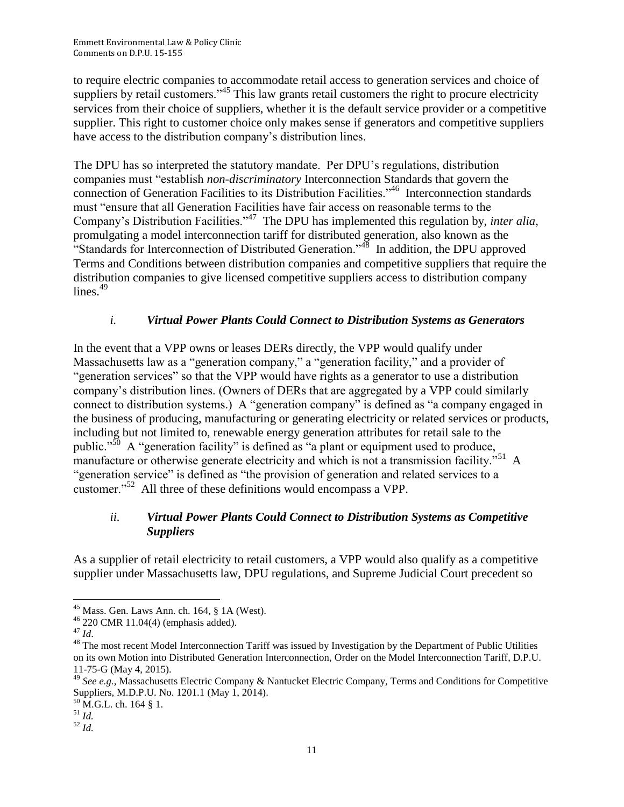to require electric companies to accommodate retail access to generation services and choice of suppliers by retail customers."<sup>45</sup> This law grants retail customers the right to procure electricity services from their choice of suppliers, whether it is the default service provider or a competitive supplier. This right to customer choice only makes sense if generators and competitive suppliers have access to the distribution company's distribution lines.

The DPU has so interpreted the statutory mandate. Per DPU's regulations, distribution companies must "establish *non-discriminatory* Interconnection Standards that govern the connection of Generation Facilities to its Distribution Facilities."<sup>46</sup> Interconnection standards must "ensure that all Generation Facilities have fair access on reasonable terms to the Company's Distribution Facilities."<sup>47</sup> The DPU has implemented this regulation by, *inter alia*, promulgating a model interconnection tariff for distributed generation, also known as the "Standards for Interconnection of Distributed Generation."<sup>48</sup> In addition, the DPU approved Terms and Conditions between distribution companies and competitive suppliers that require the distribution companies to give licensed competitive suppliers access to distribution company lines. $49$ 

## *i. Virtual Power Plants Could Connect to Distribution Systems as Generators*

In the event that a VPP owns or leases DERs directly, the VPP would qualify under Massachusetts law as a "generation company," a "generation facility," and a provider of "generation services" so that the VPP would have rights as a generator to use a distribution company's distribution lines. (Owners of DERs that are aggregated by a VPP could similarly connect to distribution systems.) A "generation company" is defined as "a company engaged in the business of producing, manufacturing or generating electricity or related services or products, including but not limited to, renewable energy generation attributes for retail sale to the public."<sup>50</sup> A "generation facility" is defined as "a plant or equipment used to produce, manufacture or otherwise generate electricity and which is not a transmission facility."<sup>51</sup> A "generation service" is defined as "the provision of generation and related services to a customer."<sup>52</sup> All three of these definitions would encompass a VPP.

## *ii. Virtual Power Plants Could Connect to Distribution Systems as Competitive Suppliers*

As a supplier of retail electricity to retail customers, a VPP would also qualify as a competitive supplier under Massachusetts law, DPU regulations, and Supreme Judicial Court precedent so

l  $45$  Mass. Gen. Laws Ann. ch. 164, § 1A (West).

<sup>46</sup> 220 CMR 11.04(4) (emphasis added).

<sup>47</sup> *Id*.

<sup>&</sup>lt;sup>48</sup> The most recent Model Interconnection Tariff was issued by Investigation by the Department of Public Utilities on its own Motion into Distributed Generation Interconnection, Order on the Model Interconnection Tariff, D.P.U. 11-75-G (May 4, 2015).

<sup>49</sup> *See e.g.,* Massachusetts Electric Company & Nantucket Electric Company, Terms and Conditions for Competitive Suppliers, M.D.P.U. No. 1201.1 (May 1, 2014).

 $^{50}$  M.G.L. ch. 164 § 1.

 $^{51}$  *Id.* 

<sup>52</sup> *Id.*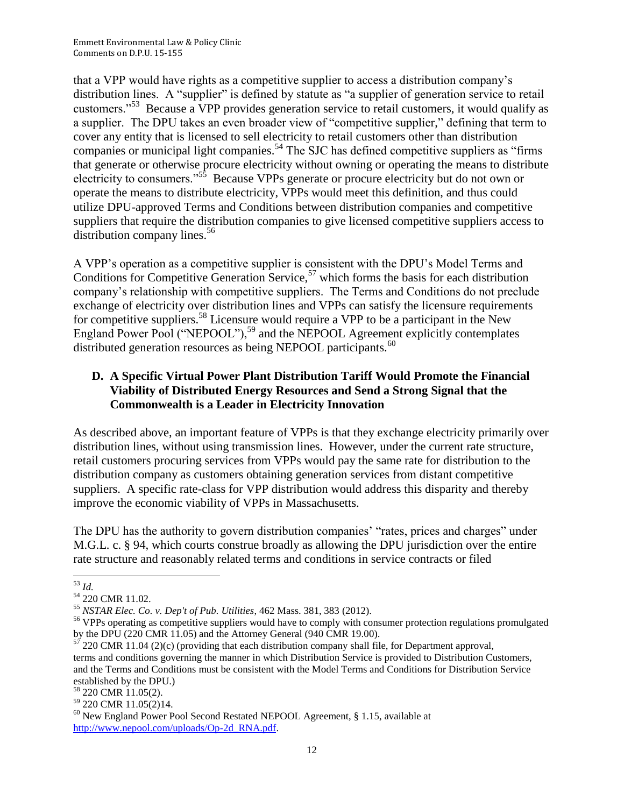that a VPP would have rights as a competitive supplier to access a distribution company's distribution lines. A "supplier" is defined by statute as "a supplier of generation service to retail customers."<sup>53</sup> Because a VPP provides generation service to retail customers, it would qualify as a supplier. The DPU takes an even broader view of "competitive supplier," defining that term to cover any entity that is licensed to sell electricity to retail customers other than distribution companies or municipal light companies.<sup>54</sup> The SJC has defined competitive suppliers as "firms" that generate or otherwise procure electricity without owning or operating the means to distribute electricity to consumers."<sup>55</sup> Because VPPs generate or procure electricity but do not own or operate the means to distribute electricity, VPPs would meet this definition, and thus could utilize DPU-approved Terms and Conditions between distribution companies and competitive suppliers that require the distribution companies to give licensed competitive suppliers access to distribution company lines. $56$ 

A VPP's operation as a competitive supplier is consistent with the DPU's Model Terms and Conditions for Competitive Generation Service,  $57$  which forms the basis for each distribution company's relationship with competitive suppliers. The Terms and Conditions do not preclude exchange of electricity over distribution lines and VPPs can satisfy the licensure requirements for competitive suppliers.<sup>58</sup> Licensure would require a VPP to be a participant in the New England Power Pool ("NEPOOL"),<sup>59</sup> and the NEPOOL Agreement explicitly contemplates distributed generation resources as being NEPOOL participants.<sup>60</sup>

#### **D. A Specific Virtual Power Plant Distribution Tariff Would Promote the Financial Viability of Distributed Energy Resources and Send a Strong Signal that the Commonwealth is a Leader in Electricity Innovation**

As described above, an important feature of VPPs is that they exchange electricity primarily over distribution lines, without using transmission lines. However, under the current rate structure, retail customers procuring services from VPPs would pay the same rate for distribution to the distribution company as customers obtaining generation services from distant competitive suppliers. A specific rate-class for VPP distribution would address this disparity and thereby improve the economic viability of VPPs in Massachusetts.

The DPU has the authority to govern distribution companies' "rates, prices and charges" under M.G.L. c. § 94, which courts construe broadly as allowing the DPU jurisdiction over the entire rate structure and reasonably related terms and conditions in service contracts or filed

 $\overline{\phantom{a}}$ <sup>53</sup> *Id.*

<sup>54</sup> 220 CMR 11.02.

<sup>55</sup> *NSTAR Elec. Co. v. Dep't of Pub. Utilities*, 462 Mass. 381, 383 (2012).

<sup>&</sup>lt;sup>56</sup> VPPs operating as competitive suppliers would have to comply with consumer protection regulations promulgated by the DPU (220 CMR 11.05) and the Attorney General (940 CMR 19.00).

 $57$  220 CMR 11.04 (2)(c) (providing that each distribution company shall file, for Department approval, terms and conditions governing the manner in which Distribution Service is provided to Distribution Customers, and the Terms and Conditions must be consistent with the Model Terms and Conditions for Distribution Service established by the DPU.)

<sup>&</sup>lt;sup>58</sup> 220 CMR 11.05(2).

 $59$  220 CMR 11.05(2)14.

 $60$  New England Power Pool Second Restated NEPOOL Agreement, § 1.15, available at [http://www.nepool.com/uploads/Op-2d\\_RNA.pdf.](http://www.nepool.com/uploads/Op-2d_RNA.pdf)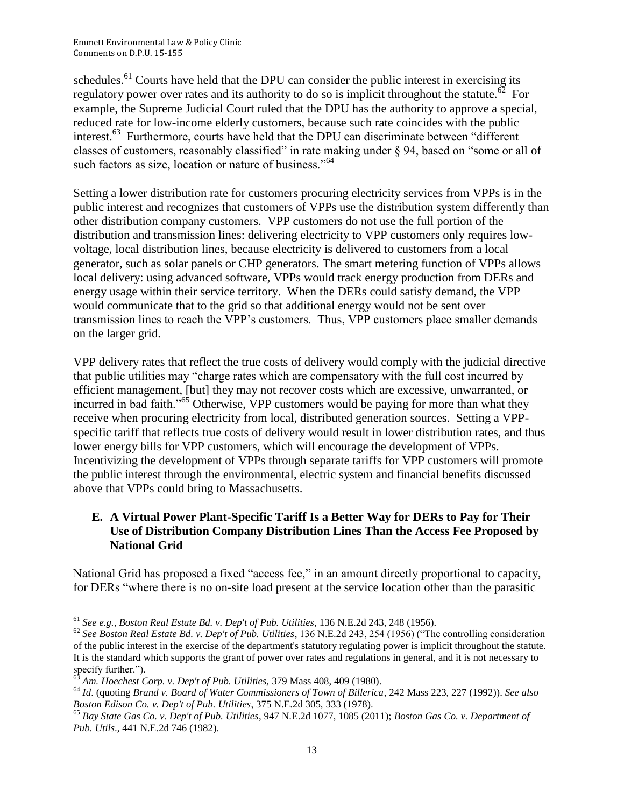schedules.<sup>61</sup> Courts have held that the DPU can consider the public interest in exercising its regulatory power over rates and its authority to do so is implicit throughout the statute.<sup> $\delta^2$ </sup> For example, the Supreme Judicial Court ruled that the DPU has the authority to approve a special, reduced rate for low-income elderly customers, because such rate coincides with the public interest.<sup>63</sup> Furthermore, courts have held that the DPU can discriminate between "different classes of customers, reasonably classified" in rate making under § 94, based on "some or all of such factors as size, location or nature of business."<sup>64</sup>

Setting a lower distribution rate for customers procuring electricity services from VPPs is in the public interest and recognizes that customers of VPPs use the distribution system differently than other distribution company customers. VPP customers do not use the full portion of the distribution and transmission lines: delivering electricity to VPP customers only requires lowvoltage, local distribution lines, because electricity is delivered to customers from a local generator, such as solar panels or CHP generators. The smart metering function of VPPs allows local delivery: using advanced software, VPPs would track energy production from DERs and energy usage within their service territory. When the DERs could satisfy demand, the VPP would communicate that to the grid so that additional energy would not be sent over transmission lines to reach the VPP's customers. Thus, VPP customers place smaller demands on the larger grid.

VPP delivery rates that reflect the true costs of delivery would comply with the judicial directive that public utilities may "charge rates which are compensatory with the full cost incurred by efficient management, [but] they may not recover costs which are excessive, unwarranted, or incurred in bad faith."<sup>65</sup> Otherwise, VPP customers would be paying for more than what they receive when procuring electricity from local, distributed generation sources. Setting a VPPspecific tariff that reflects true costs of delivery would result in lower distribution rates, and thus lower energy bills for VPP customers, which will encourage the development of VPPs. Incentivizing the development of VPPs through separate tariffs for VPP customers will promote the public interest through the environmental, electric system and financial benefits discussed above that VPPs could bring to Massachusetts.

## **E. A Virtual Power Plant-Specific Tariff Is a Better Way for DERs to Pay for Their Use of Distribution Company Distribution Lines Than the Access Fee Proposed by National Grid**

National Grid has proposed a fixed "access fee," in an amount directly proportional to capacity, for DERs "where there is no on-site load present at the service location other than the parasitic

 $\overline{\phantom{a}}$ <sup>61</sup> *See e.g., Boston Real Estate Bd. v. Dep't of Pub. Utilities*, 136 N.E.2d 243, 248 (1956).

<sup>62</sup> *See Boston Real Estate Bd. v. Dep't of Pub. Utilities*, 136 N.E.2d 243, 254 (1956) ("The controlling consideration of the public interest in the exercise of the department's statutory regulating power is implicit throughout the statute. It is the standard which supports the grant of power over rates and regulations in general, and it is not necessary to specify further.").

<sup>63</sup> *Am. Hoechest Corp. v. Dep't of Pub. Utilities,* 379 Mass 408, 409 (1980).

<sup>64</sup> *Id*. (quoting *Brand v. Board of Water Commissioners of Town of Billerica*, 242 Mass 223, 227 (1992)). *See also Boston Edison Co. v. Dep't of Pub. Utilities*, 375 N.E.2d 305, 333 (1978).

<sup>65</sup> *Bay State Gas Co. v. Dep't of Pub. Utilities*, 947 N.E.2d 1077, 1085 (2011); *Boston Gas Co. v. Department of Pub. Utils*., 441 N.E.2d 746 (1982).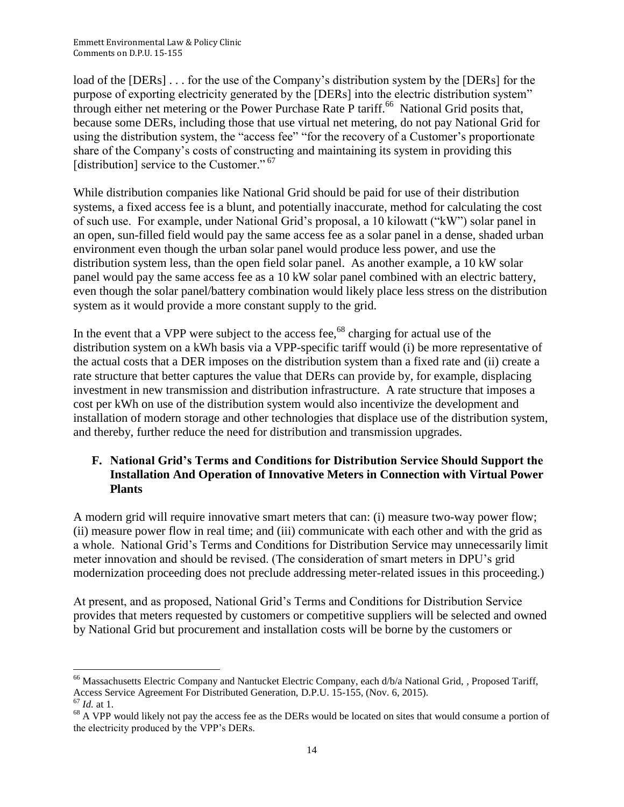load of the [DERs] . . . for the use of the Company's distribution system by the [DERs] for the purpose of exporting electricity generated by the [DERs] into the electric distribution system" through either net metering or the Power Purchase Rate P tariff.<sup>66</sup> National Grid posits that, because some DERs, including those that use virtual net metering, do not pay National Grid for using the distribution system, the "access fee" "for the recovery of a Customer's proportionate share of the Company's costs of constructing and maintaining its system in providing this [distribution] service to the Customer."<sup>67</sup>

While distribution companies like National Grid should be paid for use of their distribution systems, a fixed access fee is a blunt, and potentially inaccurate, method for calculating the cost of such use. For example, under National Grid's proposal, a 10 kilowatt ("kW") solar panel in an open, sun-filled field would pay the same access fee as a solar panel in a dense, shaded urban environment even though the urban solar panel would produce less power, and use the distribution system less, than the open field solar panel. As another example, a 10 kW solar panel would pay the same access fee as a 10 kW solar panel combined with an electric battery, even though the solar panel/battery combination would likely place less stress on the distribution system as it would provide a more constant supply to the grid.

In the event that a VPP were subject to the access fee,<sup>68</sup> charging for actual use of the distribution system on a kWh basis via a VPP-specific tariff would (i) be more representative of the actual costs that a DER imposes on the distribution system than a fixed rate and (ii) create a rate structure that better captures the value that DERs can provide by, for example, displacing investment in new transmission and distribution infrastructure. A rate structure that imposes a cost per kWh on use of the distribution system would also incentivize the development and installation of modern storage and other technologies that displace use of the distribution system, and thereby, further reduce the need for distribution and transmission upgrades.

## **F. National Grid's Terms and Conditions for Distribution Service Should Support the Installation And Operation of Innovative Meters in Connection with Virtual Power Plants**

A modern grid will require innovative smart meters that can: (i) measure two-way power flow; (ii) measure power flow in real time; and (iii) communicate with each other and with the grid as a whole. National Grid's Terms and Conditions for Distribution Service may unnecessarily limit meter innovation and should be revised. (The consideration of smart meters in DPU's grid modernization proceeding does not preclude addressing meter-related issues in this proceeding.)

At present, and as proposed, National Grid's Terms and Conditions for Distribution Service provides that meters requested by customers or competitive suppliers will be selected and owned by National Grid but procurement and installation costs will be borne by the customers or

 $\overline{\phantom{a}}$ <sup>66</sup> Massachusetts Electric Company and Nantucket Electric Company, each d/b/a National Grid, , Proposed Tariff, Access Service Agreement For Distributed Generation, D.P.U. 15-155, (Nov. 6, 2015). <sup>67</sup> *Id.* at 1.

 $68$  A VPP would likely not pay the access fee as the DERs would be located on sites that would consume a portion of the electricity produced by the VPP's DERs.